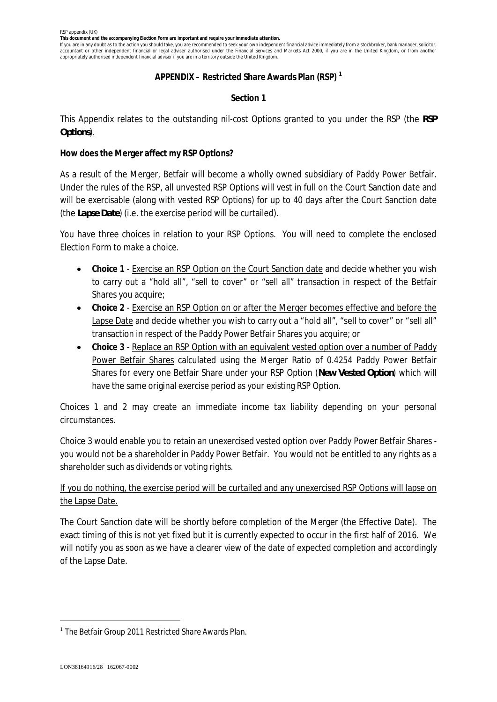**This document and the accompanying Election Form are important and require your immediate attention.**

If you are in any doubt as to the action you should take, you are recommended to seek your own independent financial advice immediately from a stockbroker, bank manager, solicitor, accountant or other independent financial or legal adviser authorised under the Financial Services and Markets Act 2000, if you are in the United Kingdom, or from another appropriately authorised independent financial adviser if you are in a territory outside the United Kingdom.

# **APPENDIX – Restricted Share Awards Plan (RSP) <sup>1</sup>**

# **Section 1**

This Appendix relates to the outstanding nil-cost Options granted to you under the RSP (the *RSP Options*).

**How does the Merger affect my RSP Options?**

As a result of the Merger, Betfair will become a wholly owned subsidiary of Paddy Power Betfair. Under the rules of the RSP, all unvested RSP Options will vest in full on the Court Sanction date and will be exercisable (along with vested RSP Options) for up to 40 days after the Court Sanction date (the *Lapse Date*) (i.e. the exercise period will be curtailed).

You have three choices in relation to your RSP Options. You will need to complete the enclosed Election Form to make a choice.

- · **Choice 1** Exercise an RSP Option on the Court Sanction date and decide whether you wish to carry out a "hold all", "sell to cover" or "sell all" transaction in respect of the Betfair Shares you acquire;
- · **Choice 2** Exercise an RSP Option on or after the Merger becomes effective and before the Lapse Date and decide whether you wish to carry out a "hold all", "sell to cover" or "sell all" transaction in respect of the Paddy Power Betfair Shares you acquire; or
- · **Choice 3** Replace an RSP Option with an equivalent vested option over a number of Paddy Power Betfair Shares calculated using the Merger Ratio of 0.4254 Paddy Power Betfair Shares for every one Betfair Share under your RSP Option (*New Vested Option*) which will have the same original exercise period as your existing RSP Option.

Choices 1 and 2 may create an immediate income tax liability depending on your personal circumstances.

Choice 3 would enable you to retain an unexercised vested option over Paddy Power Betfair Shares you would not be a shareholder in Paddy Power Betfair. You would not be entitled to any rights as a shareholder such as dividends or voting rights.

# If you do nothing, the exercise period will be curtailed and any unexercised RSP Options will lapse on the Lapse Date.

The Court Sanction date will be shortly before completion of the Merger (the Effective Date). The exact timing of this is not yet fixed but it is currently expected to occur in the first half of 2016. We will notify you as soon as we have a clearer view of the date of expected completion and accordingly of the Lapse Date.

<sup>&</sup>lt;sup>1</sup> The Betfair Group 2011 Restricted Share Awards Plan.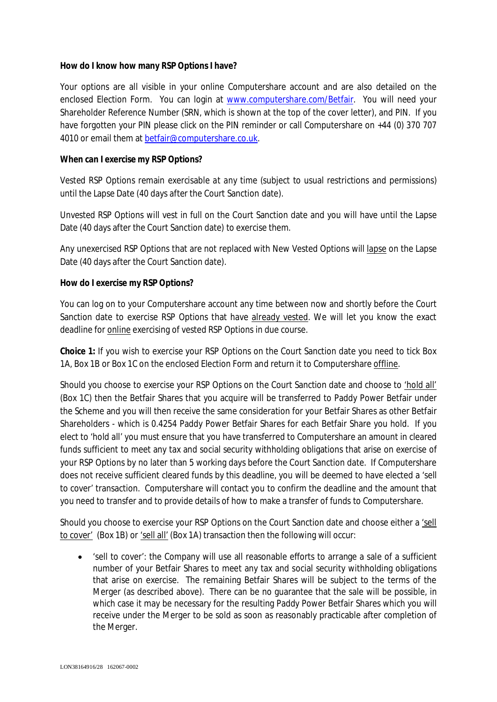**How do I know how many RSP Options I have?**

Your options are all visible in your online Computershare account and are also detailed on the enclosed Election Form. You can login at www.computershare.com/Betfair. You will need your Shareholder Reference Number (SRN, which is shown at the top of the cover letter), and PIN. If you have forgotten your PIN please click on the PIN reminder or call Computershare on +44 (0) 370 707 4010 or email them at betfair@computershare.co.uk.

**When can I exercise my RSP Options?**

*Vested* RSP Options remain exercisable *at any time* (subject to usual restrictions and permissions) until the Lapse Date (40 days after the Court Sanction date).

*Unvested* RSP Options will vest in full on the Court Sanction date and you will have until the Lapse Date (40 days after the Court Sanction date) to exercise them.

Any unexercised RSP Options that are not replaced with New Vested Options will lapse on the Lapse Date (40 days after the Court Sanction date).

**How do I exercise my RSP Options?**

You can log on to your Computershare account any time between now and shortly before the Court Sanction date to exercise RSP Options that have already vested. We will let you know the exact deadline for online exercising of vested RSP Options in due course.

**Choice 1:** If you wish to exercise your RSP Options on the Court Sanction date you need to tick Box 1A, Box 1B or Box 1C on the enclosed Election Form and return it to Computershare offline.

Should you choose to exercise your RSP Options on the Court Sanction date and choose to 'hold all' (Box 1C) then the Betfair Shares that you acquire will be transferred to Paddy Power Betfair under the Scheme and you will then receive the same consideration for your Betfair Shares as other Betfair Shareholders - which is 0.4254 Paddy Power Betfair Shares for each Betfair Share you hold. If you elect to 'hold all' you must ensure that you have transferred to Computershare an amount in cleared funds sufficient to meet any tax and social security withholding obligations that arise on exercise of your RSP Options by no later than 5 working days before the Court Sanction date. If Computershare does not receive sufficient cleared funds by this deadline, you will be deemed to have elected a 'sell to cover' transaction. Computershare will contact you to confirm the deadline and the amount that you need to transfer and to provide details of how to make a transfer of funds to Computershare.

Should you choose to exercise your RSP Options on the Court Sanction date and choose either a 'sell to cover' (Box 1B) or 'sell all' (Box 1A) transaction then the following will occur:

· 'sell to cover': the Company will use all reasonable efforts to arrange a sale of a sufficient number of your Betfair Shares to meet any tax and social security withholding obligations that arise on exercise. The remaining Betfair Shares will be subject to the terms of the Merger (as described above). There can be no guarantee that the sale will be possible, in which case it may be necessary for the resulting Paddy Power Betfair Shares which you will receive under the Merger to be sold as soon as reasonably practicable after completion of the Merger.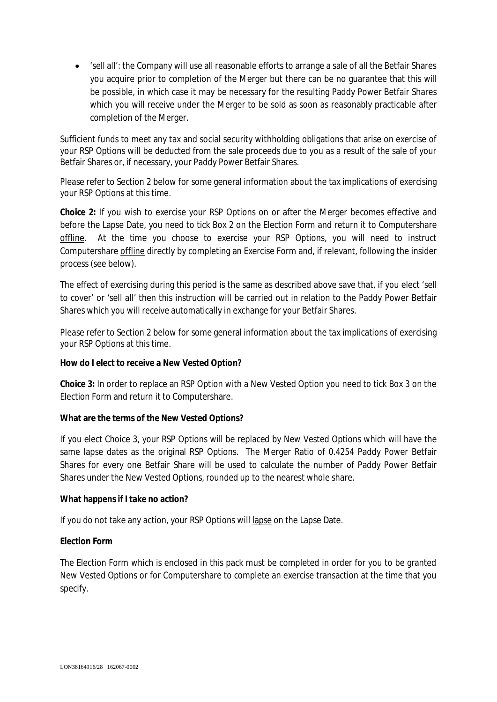· 'sell all': the Company will use all reasonable efforts to arrange a sale of all the Betfair Shares you acquire prior to completion of the Merger but there can be no guarantee that this will be possible, in which case it may be necessary for the resulting Paddy Power Betfair Shares which you will receive under the Merger to be sold as soon as reasonably practicable after completion of the Merger.

Sufficient funds to meet any tax and social security withholding obligations that arise on exercise of your RSP Options will be deducted from the sale proceeds due to you as a result of the sale of your Betfair Shares or, if necessary, your Paddy Power Betfair Shares.

Please refer to Section 2 below for some general information about the tax implications of exercising your RSP Options at this time.

**Choice 2:** If you wish to exercise your RSP Options on or after the Merger becomes effective and before the Lapse Date, you need to tick Box 2 on the Election Form and return it to Computershare offline. At the time you choose to exercise your RSP Options, you will need to instruct Computershare offline directly by completing an Exercise Form and, if relevant, following the insider process (see below).

The effect of exercising during this period is the same as described above save that, if you elect 'sell to cover' or 'sell all' then this instruction will be carried out in relation to the Paddy Power Betfair Shares which you will receive automatically in exchange for your Betfair Shares.

Please refer to Section 2 below for some general information about the tax implications of exercising your RSP Options at this time.

**How do I elect to receive a New Vested Option?**

**Choice 3:** In order to replace an RSP Option with a New Vested Option you need to tick Box 3 on the Election Form and return it to Computershare.

**What are the terms of the New Vested Options?**

If you elect Choice 3, your RSP Options will be replaced by New Vested Options which will have the same lapse dates as the original RSP Options. The Merger Ratio of 0.4254 Paddy Power Betfair Shares for every one Betfair Share will be used to calculate the number of Paddy Power Betfair Shares under the New Vested Options, rounded up to the nearest whole share.

**What happens if I take no action?**

If you do not take any action, your RSP Options will lapse on the Lapse Date.

# **Election Form**

The Election Form which is enclosed in this pack must be completed in order for you to be granted New Vested Options or for Computershare to complete an exercise transaction at the time that you specify.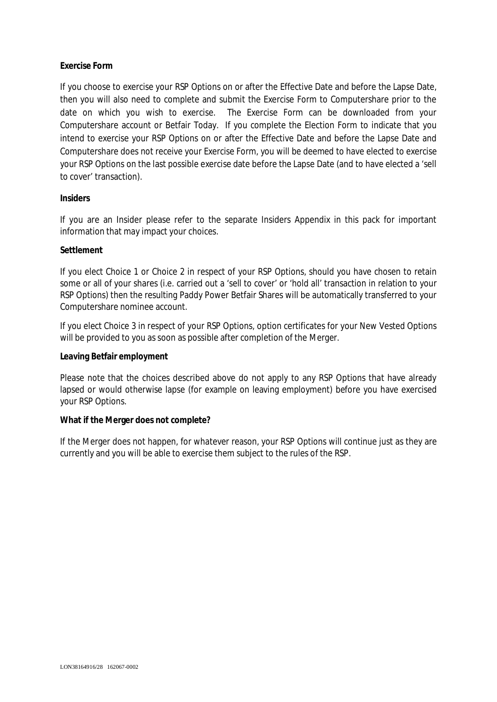# **Exercise Form**

If you choose to exercise your RSP Options on or after the Effective Date and before the Lapse Date, then you will also need to complete and submit the Exercise Form to Computershare prior to the date on which you wish to exercise. The Exercise Form can be downloaded from your Computershare account or Betfair Today. If you complete the Election Form to indicate that you intend to exercise your RSP Options on or after the Effective Date and before the Lapse Date and Computershare does not receive your Exercise Form, you will be deemed to have elected to exercise your RSP Options on the last possible exercise date before the Lapse Date (and to have elected a 'sell to cover' transaction).

### **Insiders**

If you are an Insider please refer to the separate Insiders Appendix in this pack for important information that may impact your choices.

### **Settlement**

If you elect Choice 1 or Choice 2 in respect of your RSP Options, should you have chosen to retain some or all of your shares (i.e. carried out a 'sell to cover' or 'hold all' transaction in relation to your RSP Options) then the resulting Paddy Power Betfair Shares will be automatically transferred to your Computershare nominee account.

If you elect Choice 3 in respect of your RSP Options, option certificates for your New Vested Options will be provided to you as soon as possible after completion of the Merger.

#### **Leaving Betfair employment**

Please note that the choices described above do not apply to any RSP Options that have already lapsed or would otherwise lapse (for example on leaving employment) before you have exercised your RSP Options.

#### **What if the Merger does not complete?**

If the Merger does not happen, for whatever reason, your RSP Options will continue just as they are currently and you will be able to exercise them subject to the rules of the RSP.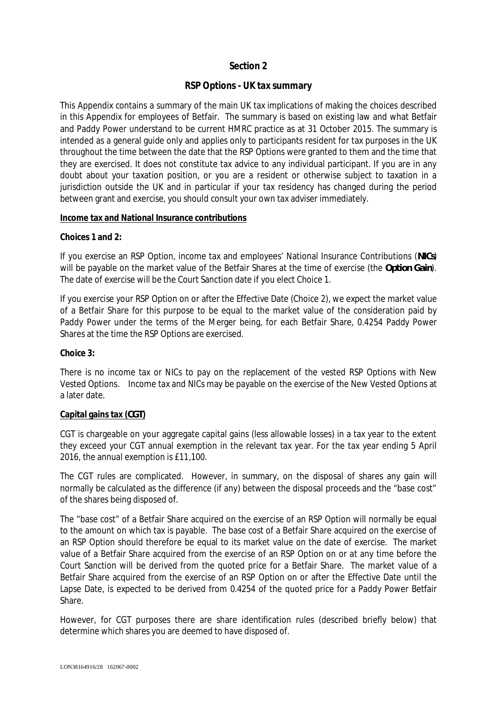# **Section 2**

# **RSP Options - UK tax summary**

This Appendix contains a summary of the main UK tax implications of making the choices described in this Appendix for employees of Betfair. The summary is based on existing law and what Betfair and Paddy Power understand to be current HMRC practice as at 31 October 2015. The summary is intended as a general guide only and applies only to participants resident for tax purposes in the UK throughout the time between the date that the RSP Options were granted to them and the time that they are exercised. It does not constitute tax advice to any individual participant. If you are in any doubt about your taxation position, or you are a resident or otherwise subject to taxation in a jurisdiction outside the UK and in particular if your tax residency has changed during the period between grant and exercise, you should consult your own tax adviser immediately.

### **Income tax and National Insurance contributions**

**Choices 1 and 2:**

If you exercise an RSP Option, income tax and employees' National Insurance Contributions (*NICs*) will be payable on the market value of the Betfair Shares at the time of exercise (the *Option Gain*). The date of exercise will be the Court Sanction date if you elect Choice 1.

If you exercise your RSP Option on or after the Effective Date (Choice 2), we expect the market value of a Betfair Share for this purpose to be equal to the market value of the consideration paid by Paddy Power under the terms of the Merger being, for each Betfair Share, 0.4254 Paddy Power Shares at the time the RSP Options are exercised.

**Choice 3:**

There is no income tax or NICs to pay on the replacement of the vested RSP Options with New Vested Options. Income tax and NICs may be payable on the exercise of the New Vested Options at a later date.

#### **Capital gains tax (***CGT***)**

CGT is chargeable on your aggregate capital gains (less allowable losses) in a tax year to the extent they exceed your CGT annual exemption in the relevant tax year. For the tax year ending 5 April 2016, the annual exemption is £11,100.

The CGT rules are complicated. However, in summary, on the disposal of shares any gain will normally be calculated as the difference (if any) between the disposal proceeds and the "base cost" of the shares being disposed of.

The "base cost" of a Betfair Share acquired on the exercise of an RSP Option will normally be equal to the amount on which tax is payable. The base cost of a Betfair Share acquired on the exercise of an RSP Option should therefore be equal to its market value on the date of exercise. The market value of a Betfair Share acquired from the exercise of an RSP Option on or at any time before the Court Sanction will be derived from the quoted price for a Betfair Share. The market value of a Betfair Share acquired from the exercise of an RSP Option on or after the Effective Date until the Lapse Date, is expected to be derived from 0.4254 of the quoted price for a Paddy Power Betfair Share.

However, for CGT purposes there are share identification rules (described briefly below) that determine which shares you are deemed to have disposed of.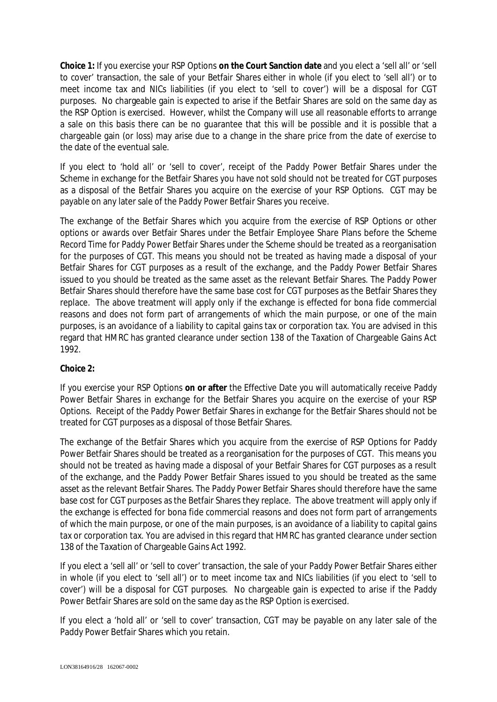**Choice 1:** If you exercise your RSP Options **on the Court Sanction date** and you elect a 'sell all' or 'sell to cover' transaction, the sale of your Betfair Shares either in whole (if you elect to 'sell all') or to meet income tax and NICs liabilities (if you elect to 'sell to cover') will be a disposal for CGT purposes. No chargeable gain is expected to arise if the Betfair Shares are sold on the same day as the RSP Option is exercised. However, whilst the Company will use all reasonable efforts to arrange a sale on this basis there can be no guarantee that this will be possible and it is possible that a chargeable gain (or loss) may arise due to a change in the share price from the date of exercise to the date of the eventual sale.

If you elect to 'hold all' or 'sell to cover', receipt of the Paddy Power Betfair Shares under the Scheme in exchange for the Betfair Shares you have not sold should not be treated for CGT purposes as a disposal of the Betfair Shares you acquire on the exercise of your RSP Options. CGT may be payable on any later sale of the Paddy Power Betfair Shares you receive.

The exchange of the Betfair Shares which you acquire from the exercise of RSP Options or other options or awards over Betfair Shares under the Betfair Employee Share Plans before the Scheme Record Time for Paddy Power Betfair Shares under the Scheme should be treated as a reorganisation for the purposes of CGT. This means you should not be treated as having made a disposal of your Betfair Shares for CGT purposes as a result of the exchange, and the Paddy Power Betfair Shares issued to you should be treated as the same asset as the relevant Betfair Shares. The Paddy Power Betfair Shares should therefore have the same base cost for CGT purposes as the Betfair Shares they replace. The above treatment will apply only if the exchange is effected for bona fide commercial reasons and does not form part of arrangements of which the main purpose, or one of the main purposes, is an avoidance of a liability to capital gains tax or corporation tax. You are advised in this regard that HMRC has granted clearance under section 138 of the Taxation of Chargeable Gains Act 1992.

**Choice 2:**

If you exercise your RSP Options **on or after** the Effective Date you will automatically receive Paddy Power Betfair Shares in exchange for the Betfair Shares you acquire on the exercise of your RSP Options. Receipt of the Paddy Power Betfair Shares in exchange for the Betfair Shares should not be treated for CGT purposes as a disposal of those Betfair Shares.

The exchange of the Betfair Shares which you acquire from the exercise of RSP Options for Paddy Power Betfair Shares should be treated as a reorganisation for the purposes of CGT. This means you should not be treated as having made a disposal of your Betfair Shares for CGT purposes as a result of the exchange, and the Paddy Power Betfair Shares issued to you should be treated as the same asset as the relevant Betfair Shares. The Paddy Power Betfair Shares should therefore have the same base cost for CGT purposes as the Betfair Shares they replace. The above treatment will apply only if the exchange is effected for bona fide commercial reasons and does not form part of arrangements of which the main purpose, or one of the main purposes, is an avoidance of a liability to capital gains tax or corporation tax. You are advised in this regard that HMRC has granted clearance under section 138 of the Taxation of Chargeable Gains Act 1992.

If you elect a 'sell all' or 'sell to cover' transaction, the sale of your Paddy Power Betfair Shares either in whole (if you elect to 'sell all') or to meet income tax and NICs liabilities (if you elect to 'sell to cover') will be a disposal for CGT purposes. No chargeable gain is expected to arise if the Paddy Power Betfair Shares are sold on the same day as the RSP Option is exercised.

If you elect a 'hold all' or 'sell to cover' transaction, CGT may be payable on any later sale of the Paddy Power Betfair Shares which you retain.